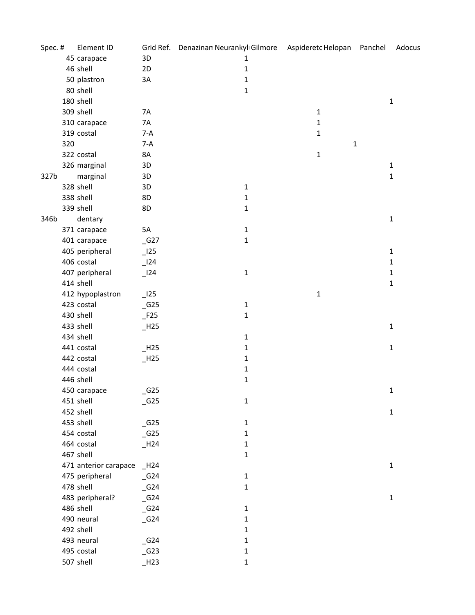| Spec. # |     | Element ID            |                              | Grid Ref. Denazinan Neurankylı Gilmore Aspideretc Helopan Panchel |              |             | Adocus       |
|---------|-----|-----------------------|------------------------------|-------------------------------------------------------------------|--------------|-------------|--------------|
|         |     | 45 carapace           | 3D                           | 1                                                                 |              |             |              |
|         |     | 46 shell              | 2D                           | $\mathbf 1$                                                       |              |             |              |
|         |     | 50 plastron           | 3A                           | $\mathbf{1}$                                                      |              |             |              |
|         |     | 80 shell              |                              | $\mathbf{1}$                                                      |              |             |              |
|         |     | 180 shell             |                              |                                                                   |              |             | $\mathbf{1}$ |
|         |     | 309 shell             | 7A                           |                                                                   | $\mathbf 1$  |             |              |
|         |     | 310 carapace          | 7A                           |                                                                   | $\mathbf{1}$ |             |              |
|         |     | 319 costal            | $7-A$                        |                                                                   | $\mathbf{1}$ |             |              |
|         | 320 |                       | $7-A$                        |                                                                   |              | $\mathbf 1$ |              |
|         |     | 322 costal            | 8A                           |                                                                   | $\mathbf{1}$ |             |              |
|         |     | 326 marginal          | 3D                           |                                                                   |              |             | $\mathbf{1}$ |
| 327b    |     | marginal              | 3D                           |                                                                   |              |             | $\mathbf{1}$ |
|         |     | 328 shell             | 3D                           | $\mathbf{1}$                                                      |              |             |              |
|         |     | 338 shell             | 8D                           | $\mathbf{1}$                                                      |              |             |              |
|         |     | 339 shell             | 8D                           | $\mathbf 1$                                                       |              |             |              |
| 346b    |     | dentary               |                              |                                                                   |              |             | $\mathbf 1$  |
|         |     | 371 carapace          | 5A                           | $\mathbf 1$                                                       |              |             |              |
|         |     | 401 carapace          | $-G27$                       | $\mathbf 1$                                                       |              |             |              |
|         |     | 405 peripheral        | $\overline{\phantom{0}}$ 125 |                                                                   |              |             | $\mathbf{1}$ |
|         |     | 406 costal            | $\overline{\phantom{0}}$ 124 |                                                                   |              |             | $\mathbf{1}$ |
|         |     | 407 peripheral        | $\frac{124}{ }$              | $\mathbf 1$                                                       |              |             | $\mathbf 1$  |
|         |     | 414 shell             |                              |                                                                   |              |             | $\mathbf 1$  |
|         |     | 412 hypoplastron      | $\overline{\phantom{0}}$ 125 |                                                                   | $\mathbf{1}$ |             |              |
|         |     | 423 costal            | $-G25$                       | $\mathbf{1}$                                                      |              |             |              |
|         |     | 430 shell             | $-F25$                       | $\mathbf{1}$                                                      |              |             |              |
|         |     | 433 shell             | $\_$ H <sub>25</sub>         |                                                                   |              |             | $\mathbf{1}$ |
|         |     | 434 shell             |                              | $\mathbf 1$                                                       |              |             |              |
|         |     | 441 costal            | $-H25$                       | $\mathbf{1}$                                                      |              |             | $\mathbf{1}$ |
|         |     | 442 costal            | $-H25$                       | $\mathbf{1}$                                                      |              |             |              |
|         |     | 444 costal            |                              | $\mathbf{1}$                                                      |              |             |              |
|         |     | 446 shell             |                              | $\mathbf 1$                                                       |              |             |              |
|         |     | 450 carapace          | $\_G25$                      |                                                                   |              |             | $\mathbf{1}$ |
|         |     | 451 shell             | $\_G25$                      | $\mathbf 1$                                                       |              |             |              |
|         |     | 452 shell             |                              |                                                                   |              |             | $\mathbf{1}$ |
|         |     | 453 shell             | $-G25$                       | $\mathbf{1}$                                                      |              |             |              |
|         |     | 454 costal            | $\_G25$                      | $\mathbf{1}$                                                      |              |             |              |
|         |     | 464 costal            | $-H24$                       | $\mathbf{1}$                                                      |              |             |              |
|         |     | 467 shell             |                              | $\mathbf{1}$                                                      |              |             |              |
|         |     | 471 anterior carapace | $_H24$                       |                                                                   |              |             | $\mathbf{1}$ |
|         |     | 475 peripheral        | $-G24$                       | $\mathbf{1}$                                                      |              |             |              |
|         |     | 478 shell             | $-G24$                       | $\mathbf{1}$                                                      |              |             |              |
|         |     | 483 peripheral?       | $-G24$                       |                                                                   |              |             | $\mathbf{1}$ |
|         |     | 486 shell             | $-G24$                       | $\mathbf{1}$                                                      |              |             |              |
|         |     | 490 neural            | $-G24$                       | 1                                                                 |              |             |              |
|         |     | 492 shell             |                              | 1                                                                 |              |             |              |
|         |     | 493 neural            | $-G24$                       | $\mathbf{1}$                                                      |              |             |              |
|         |     | 495 costal            | $-G23$                       | $\mathbf 1$                                                       |              |             |              |
|         |     | 507 shell             | H <sub>23</sub>              | $\mathbf 1$                                                       |              |             |              |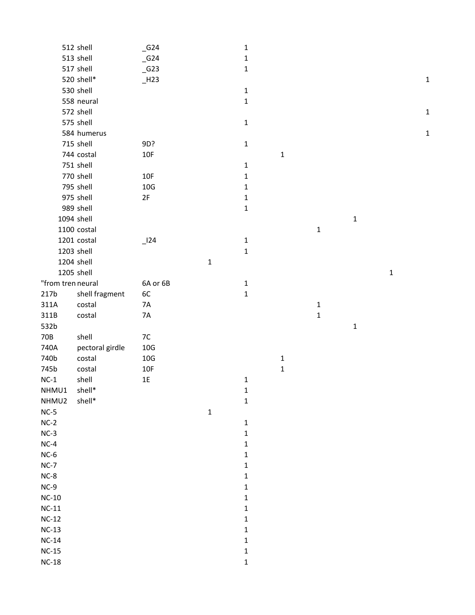|                   | 512 shell       | $\_G24$  |             | $\mathbf 1$  |             |              |             |             |             |
|-------------------|-----------------|----------|-------------|--------------|-------------|--------------|-------------|-------------|-------------|
|                   | 513 shell       | $-$ G24  |             | $\mathbf{1}$ |             |              |             |             |             |
|                   | 517 shell       | $\_$ G23 |             | $\mathbf 1$  |             |              |             |             |             |
|                   | 520 shell*      | $-H23$   |             |              |             |              |             |             | $\mathbf 1$ |
|                   | 530 shell       |          |             | $\mathbf 1$  |             |              |             |             |             |
|                   | 558 neural      |          |             | $\mathbf 1$  |             |              |             |             |             |
|                   | 572 shell       |          |             |              |             |              |             |             | $\mathbf 1$ |
|                   | 575 shell       |          |             | $\mathbf 1$  |             |              |             |             |             |
|                   | 584 humerus     |          |             |              |             |              |             |             | $\mathbf 1$ |
|                   | 715 shell       | 9D?      |             | $\mathbf 1$  |             |              |             |             |             |
|                   | 744 costal      | 10F      |             |              | $\mathbf 1$ |              |             |             |             |
|                   | 751 shell       |          |             | $\mathbf 1$  |             |              |             |             |             |
|                   | 770 shell       | 10F      |             | $\mathbf 1$  |             |              |             |             |             |
|                   | 795 shell       | $10G$    |             | $\mathbf{1}$ |             |              |             |             |             |
|                   | 975 shell       | $2F$     |             | $\mathbf{1}$ |             |              |             |             |             |
|                   | 989 shell       |          |             | $\mathbf 1$  |             |              |             |             |             |
|                   | 1094 shell      |          |             |              |             |              | $\mathbf 1$ |             |             |
|                   | 1100 costal     |          |             |              |             | $\mathbf 1$  |             |             |             |
|                   | 1201 costal     | 124      |             | $\mathbf 1$  |             |              |             |             |             |
|                   | 1203 shell      |          |             | $\mathbf{1}$ |             |              |             |             |             |
|                   | 1204 shell      |          | $\mathbf 1$ |              |             |              |             |             |             |
|                   | 1205 shell      |          |             |              |             |              |             | $\mathbf 1$ |             |
| "from tren neural |                 | 6A or 6B |             | $\mathbf 1$  |             |              |             |             |             |
| 217b              | shell fragment  | 6C       |             | $\mathbf{1}$ |             |              |             |             |             |
| 311A              | costal          | 7A       |             |              |             | $\mathbf{1}$ |             |             |             |
| 311B              | costal          | 7A       |             |              |             | $\mathbf 1$  |             |             |             |
| 532b              |                 |          |             |              |             |              | $\mathbf 1$ |             |             |
| 70B               | shell           | 7C       |             |              |             |              |             |             |             |
| 740A              | pectoral girdle | $10G$    |             |              |             |              |             |             |             |
| 740b              | costal          | 10G      |             |              | $\mathbf 1$ |              |             |             |             |
| 745b              | costal          | 10F      |             |              | $\mathbf 1$ |              |             |             |             |
| $NC-1$            | shell           | 1E       |             | $\mathbf 1$  |             |              |             |             |             |
| NHMU1             | shell*          |          |             | 1            |             |              |             |             |             |
| NHMU2             | shell*          |          |             | $\mathbf 1$  |             |              |             |             |             |
| $NC-5$            |                 |          | $\mathbf 1$ |              |             |              |             |             |             |
| $NC-2$            |                 |          |             | $\mathbf 1$  |             |              |             |             |             |
| $NC-3$            |                 |          |             | $\mathbf 1$  |             |              |             |             |             |
| $NC-4$            |                 |          |             | 1            |             |              |             |             |             |
| $NC-6$            |                 |          |             | $\mathbf{1}$ |             |              |             |             |             |
| $NC-7$            |                 |          |             | $\mathbf{1}$ |             |              |             |             |             |
| $NC-8$            |                 |          |             | $\mathbf{1}$ |             |              |             |             |             |
| $NC-9$            |                 |          |             | $\mathbf{1}$ |             |              |             |             |             |
| $NC-10$           |                 |          |             | $\mathbf 1$  |             |              |             |             |             |
| $NC-11$           |                 |          |             | $\mathbf{1}$ |             |              |             |             |             |
| $NC-12$           |                 |          |             | $\mathbf 1$  |             |              |             |             |             |
| $NC-13$           |                 |          |             | $\mathbf 1$  |             |              |             |             |             |
| $NC-14$           |                 |          |             | $\mathbf{1}$ |             |              |             |             |             |
| $NC-15$           |                 |          |             | $\mathbf 1$  |             |              |             |             |             |
| $NC-18$           |                 |          |             | $\mathbf 1$  |             |              |             |             |             |
|                   |                 |          |             |              |             |              |             |             |             |